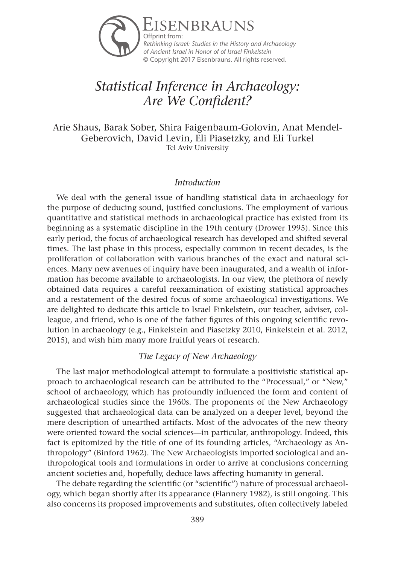

# *Statistical Inference in Archaeology: Are We Confident?*

Arie Shaus, Barak Sober, Shira Faigenbaum-Golovin, Anat Mendel-Geberovich, David Levin, Eli Piasetzky, and Eli Turkel Tel Aviv University

### *Introduction*

We deal with the general issue of handling statistical data in archaeology for the purpose of deducing sound, justified conclusions. The employment of various quantitative and statistical methods in archaeological practice has existed from its beginning as a systematic discipline in the 19th century (Drower 1995). Since this early period, the focus of archaeological research has developed and shifted several times. The last phase in this process, especially common in recent decades, is the proliferation of collaboration with various branches of the exact and natural sciences. Many new avenues of inquiry have been inaugurated, and a wealth of information has become available to archaeologists. In our view, the plethora of newly obtained data requires a careful reexamination of existing statistical approaches and a restatement of the desired focus of some archaeological investigations. We are delighted to dedicate this article to Israel Finkelstein, our teacher, adviser, colleague, and friend, who is one of the father figures of this ongoing scientific revolution in archaeology (e.g., Finkelstein and Piasetzky 2010, Finkelstein et al. 2012, 2015), and wish him many more fruitful years of research.

## *The Legacy of New Archaeology*

The last major methodological attempt to formulate a positivistic statistical approach to archaeological research can be attributed to the "Processual," or "New," school of archaeology, which has profoundly influenced the form and content of archaeological studies since the 1960s. The proponents of the New Archaeology suggested that archaeological data can be analyzed on a deeper level, beyond the mere description of unearthed artifacts. Most of the advocates of the new theory were oriented toward the social sciences—in particular, anthropology. Indeed, this fact is epitomized by the title of one of its founding articles, "Archaeology as Anthropology" (Binford 1962). The New Archaeologists imported sociological and anthropological tools and formulations in order to arrive at conclusions concerning ancient societies and, hopefully, deduce laws affecting humanity in general.

The debate regarding the scientific (or "scientific") nature of processual archaeology, which began shortly after its appearance (Flannery 1982), is still ongoing. This also concerns its proposed improvements and substitutes, often collectively labeled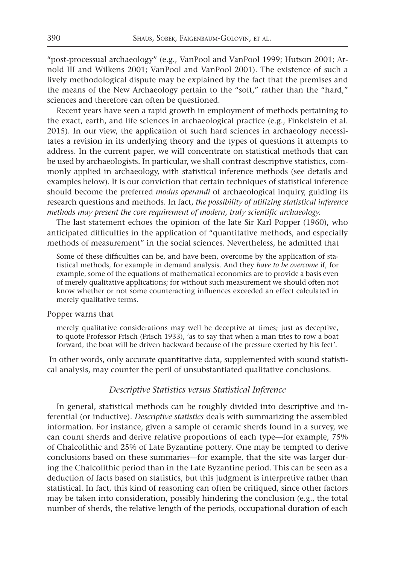"post-processual archaeology" (e.g., VanPool and VanPool 1999; Hutson 2001; Arnold III and Wilkens 2001; VanPool and VanPool 2001). The existence of such a lively methodological dispute may be explained by the fact that the premises and the means of the New Archaeology pertain to the "soft," rather than the "hard," sciences and therefore can often be questioned.

Recent years have seen a rapid growth in employment of methods pertaining to the exact, earth, and life sciences in archaeological practice (e.g., Finkelstein et al. 2015). In our view, the application of such hard sciences in archaeology necessitates a revision in its underlying theory and the types of questions it attempts to address. In the current paper, we will concentrate on statistical methods that can be used by archaeologists. In particular, we shall contrast descriptive statistics, commonly applied in archaeology, with statistical inference methods (see details and examples below). It is our conviction that certain techniques of statistical inference should become the preferred *modus operandi* of archaeological inquiry, guiding its research questions and methods. In fact, *the possibility of utilizing statistical inference methods may present the core requirement of modern, truly scientific archaeology.*

The last statement echoes the opinion of the late Sir Karl Popper (1960), who anticipated difficulties in the application of "quantitative methods, and especially methods of measurement" in the social sciences. Nevertheless, he admitted that

Some of these difficulties can be, and have been, overcome by the application of statistical methods, for example in demand analysis. And they *have to be overcome* if, for example, some of the equations of mathematical economics are to provide a basis even of merely qualitative applications; for without such measurement we should often not know whether or not some counteracting influences exceeded an effect calculated in merely qualitative terms.

#### Popper warns that

merely qualitative considerations may well be deceptive at times; just as deceptive, to quote Professor Frisch (Frisch 1933), 'as to say that when a man tries to row a boat forward, the boat will be driven backward because of the pressure exerted by his feet'.

 In other words, only accurate quantitative data, supplemented with sound statistical analysis, may counter the peril of unsubstantiated qualitative conclusions.

## *Descriptive Statistics versus Statistical Inference*

In general, statistical methods can be roughly divided into descriptive and inferential (or inductive). *Descriptive statistics* deals with summarizing the assembled information. For instance, given a sample of ceramic sherds found in a survey, we can count sherds and derive relative proportions of each type—for example, 75% of Chalcolithic and 25% of Late Byzantine pottery. One may be tempted to derive conclusions based on these summaries—for example, that the site was larger during the Chalcolithic period than in the Late Byzantine period. This can be seen as a deduction of facts based on statistics, but this judgment is interpretive rather than statistical. In fact, this kind of reasoning can often be critiqued, since other factors may be taken into consideration, possibly hindering the conclusion (e.g., the total number of sherds, the relative length of the periods, occupational duration of each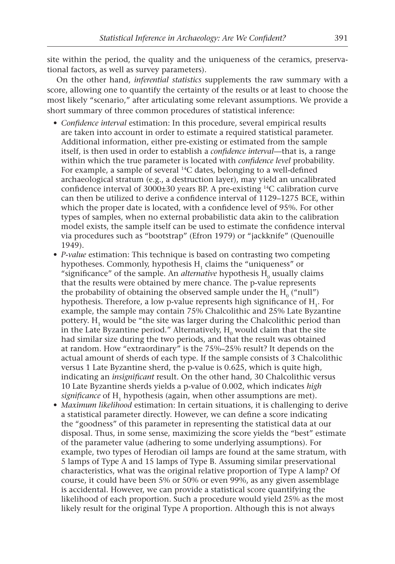site within the period, the quality and the uniqueness of the ceramics, preservational factors, as well as survey parameters).

On the other hand, *inferential statistics* supplements the raw summary with a score, allowing one to quantify the certainty of the results or at least to choose the most likely "scenario," after articulating some relevant assumptions. We provide a short summary of three common procedures of statistical inference:

- *Confidence interval* estimation: In this procedure, several empirical results are taken into account in order to estimate a required statistical parameter. Additional information, either pre-existing or estimated from the sample itself, is then used in order to establish a *confidence interval*—that is, a range within which the true parameter is located with *confidence level* probability. For example, a sample of several 14C dates, belonging to a well-defined archaeological stratum (e.g., a destruction layer), may yield an uncalibrated confidence interval of 3000±30 years BP. A pre-existing 14C calibration curve can then be utilized to derive a confidence interval of 1129–1275 BCE, within which the proper date is located, with a confidence level of 95%. For other types of samples, when no external probabilistic data akin to the calibration model exists, the sample itself can be used to estimate the confidence interval via procedures such as "bootstrap" (Efron 1979) or "jackknife" (Quenouille 1949).
- *P-value* estimation: This technique is based on contrasting two competing hypotheses. Commonly, hypothesis H<sub>1</sub> claims the "uniqueness" or "significance" of the sample. An *alternative* hypothesis  $H_0$  usually claims that the results were obtained by mere chance. The p-value represents the probability of obtaining the observed sample under the  $H_0$  ("null") hypothesis. Therefore, a low p-value represents high significance of H<sub>1</sub>. For example, the sample may contain 75% Chalcolithic and 25% Late Byzantine pottery. H<sub>1</sub> would be "the site was larger during the Chalcolithic period than in the Late Byzantine period." Alternatively,  $H_0$  would claim that the site had similar size during the two periods, and that the result was obtained at random. How "extraordinary" is the 75%–25% result? It depends on the actual amount of sherds of each type. If the sample consists of 3 Chalcolithic versus 1 Late Byzantine sherd, the p-value is 0.625, which is quite high, indicating an *insignificant* result. On the other hand, 30 Chalcolithic versus 10 Late Byzantine sherds yields a p-value of 0.002, which indicates *high significance* of H<sub>1</sub> hypothesis (again, when other assumptions are met).
- *Maximum likelihood* estimation: In certain situations, it is challenging to derive a statistical parameter directly. However, we can define a score indicating the "goodness" of this parameter in representing the statistical data at our disposal. Thus, in some sense, maximizing the score yields the "best" estimate of the parameter value (adhering to some underlying assumptions). For example, two types of Herodian oil lamps are found at the same stratum, with 5 lamps of Type A and 15 lamps of Type B. Assuming similar preservational characteristics, what was the original relative proportion of Type A lamp? Of course, it could have been 5% or 50% or even 99%, as any given assemblage is accidental. However, we can provide a statistical score quantifying the likelihood of each proportion. Such a procedure would yield 25% as the most likely result for the original Type A proportion. Although this is not always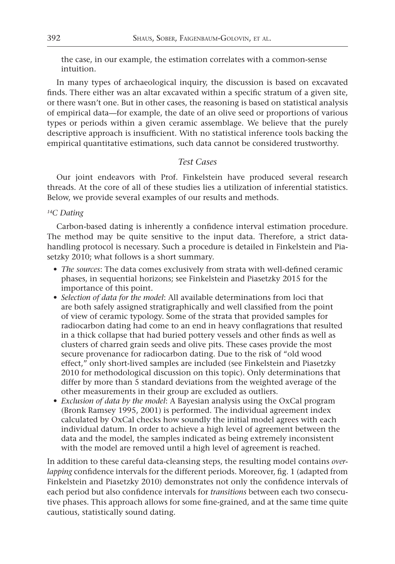the case, in our example, the estimation correlates with a common-sense intuition.

In many types of archaeological inquiry, the discussion is based on excavated finds. There either was an altar excavated within a specific stratum of a given site, or there wasn't one. But in other cases, the reasoning is based on statistical analysis of empirical data—for example, the date of an olive seed or proportions of various types or periods within a given ceramic assemblage. We believe that the purely descriptive approach is insufficient. With no statistical inference tools backing the empirical quantitative estimations, such data cannot be considered trustworthy.

# *Test Cases*

Our joint endeavors with Prof. Finkelstein have produced several research threads. At the core of all of these studies lies a utilization of inferential statistics. Below, we provide several examples of our results and methods.

#### *14C Dating*

Carbon-based dating is inherently a confidence interval estimation procedure. The method may be quite sensitive to the input data. Therefore, a strict datahandling protocol is necessary. Such a procedure is detailed in Finkelstein and Piasetzky 2010; what follows is a short summary.

- *The sources*: The data comes exclusively from strata with well-defined ceramic phases, in sequential horizons; see Finkelstein and Piasetzky 2015 for the importance of this point.
- *Selection of data for the model*: All available determinations from loci that are both safely assigned stratigraphically and well classified from the point of view of ceramic typology. Some of the strata that provided samples for radiocarbon dating had come to an end in heavy conflagrations that resulted in a thick collapse that had buried pottery vessels and other finds as well as clusters of charred grain seeds and olive pits. These cases provide the most secure provenance for radiocarbon dating. Due to the risk of "old wood effect," only short-lived samples are included (see Finkelstein and Piasetzky 2010 for methodological discussion on this topic). Only determinations that differ by more than 5 standard deviations from the weighted average of the other measurements in their group are excluded as outliers.
- *Exclusion of data by the model*: A Bayesian analysis using the OxCal program (Bronk Ramsey 1995, 2001) is performed. The individual agreement index calculated by OxCal checks how soundly the initial model agrees with each individual datum. In order to achieve a high level of agreement between the data and the model, the samples indicated as being extremely inconsistent with the model are removed until a high level of agreement is reached.

In addition to these careful data-cleansing steps, the resulting model contains *overlapping* confidence intervals for the different periods. Moreover, fig. 1 (adapted from Finkelstein and Piasetzky 2010) demonstrates not only the confidence intervals of each period but also confidence intervals for *transitions* between each two consecutive phases. This approach allows for some fine-grained, and at the same time quite cautious, statistically sound dating.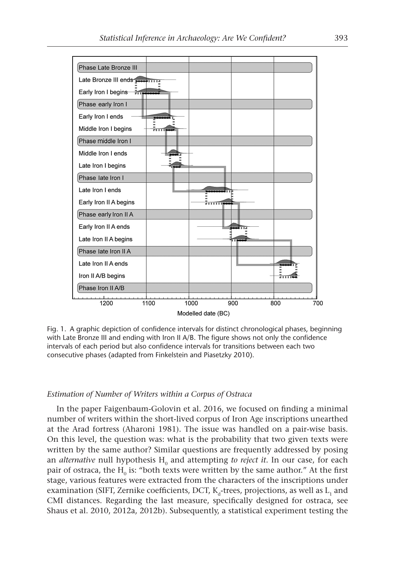

Fig. 1. A graphic depiction of confidence intervals for distinct chronological phases, beginning with Late Bronze III and ending with Iron II A/B. The figure shows not only the confidence intervals of each period but also confidence intervals for transitions between each two consecutive phases (adapted from Finkelstein and Piasetzky 2010).

#### *Estimation of Number of Writers within a Corpus of Ostraca*

In the paper Faigenbaum-Golovin et al. 2016, we focused on finding a minimal number of writers within the short-lived corpus of Iron Age inscriptions unearthed at the Arad fortress (Aharoni 1981). The issue was handled on a pair-wise basis. On this level, the question was: what is the probability that two given texts were written by the same author? Similar questions are frequently addressed by posing an *alternative* null hypothesis H<sub>0</sub> and attempting *to reject it*. In our case, for each pair of ostraca, the  $H_0$  is: "both texts were written by the same author." At the first stage, various features were extracted from the characters of the inscriptions under examination (SIFT, Zernike coefficients, DCT,  $K_d$ -trees, projections, as well as  $L_1$  and CMI distances. Regarding the last measure, specifically designed for ostraca, see Shaus et al. 2010, 2012a, 2012b). Subsequently, a statistical experiment testing the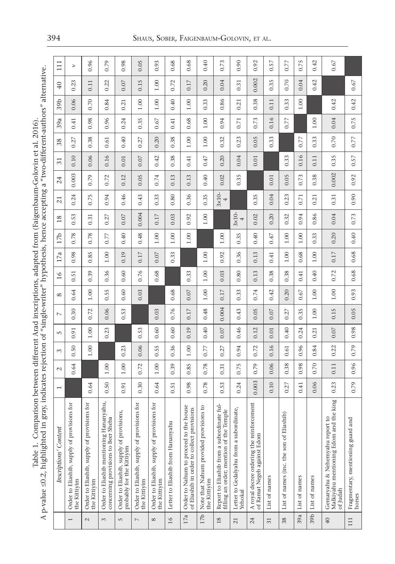Table 1. Comparison between different Arad inscriptions, adapted from (Faigenbaum-Golovin et al. 2016).<br>A p-value ≤0.2, highlighted in gray, indicates rejection of "single-writer" hypothesis, hence accepting a "two-differe A p-value ≤0.2, highlighted in gray, indicates rejection of "single-writer" hypothesis, hence accepting a "two-different-authors" alternative. Table 1. Comparison between different Arad inscriptions, adapted from (Faigenbaum-Golovin et al. 2016).

|                | Inscriptions' Content                                                                 | $\overline{ }$ | $\sim$ | 3        | 5    | $\overline{ }$ | $\infty$ | 16   | 17a  | 17 <sub>b</sub> | 18                 | 21                 | 24    | $\overline{31}$ | 38   | 39a  | 39b      | 40       | $\overline{11}$  |
|----------------|---------------------------------------------------------------------------------------|----------------|--------|----------|------|----------------|----------|------|------|-----------------|--------------------|--------------------|-------|-----------------|------|------|----------|----------|------------------|
| $\overline{ }$ | Order to Eliashib, supply of provisions for<br>the Kittiyim                           |                | 0.64   | 0.50     | 0.91 | 0.30           | 0.64     | 0.51 | 0.98 | 0.78            | 0.53               | 0.24               | 0.003 | 0.10            | 0.27 | 0.41 | 0.06     | 0.23     | $\triangleright$ |
| $\mathcal{L}$  | Order to Eliashib, supply of provisions for<br>the Kittiyim                           | 0.64           |        | 1.00     | 1.00 | 0.72           | 1.00     | 0.39 | 0.85 | 0.78            | 0.31               | 0.75               | 0.79  | 0.06            | 0.38 | 0.98 | 0.70     | 0.11     | 0.96             |
| 3              | Order to Eliashib mentioning Hananyahu,<br>concerning provisions to Beer Sheba        | 0.50           | 1.00   |          | 0.23 | 0.06           | .55<br>ö | 0.36 | 1.00 | 0.77            | 0.27               | 0.94               | 0.72  | 0.16            | 0.61 | 0.96 | 0.84     | 0.22     | 0.79             |
| 5              | Order to Eliashib, supply of provisions,<br>probably for the Kittiyim                 | 0.91           | 1.00   | 0.23     |      | 0.53           | 0.60     | 0.60 | 0.19 | 0.40            | 0.07               | 0.46               | 0.12  | 0.01            | 0.40 | 0.24 | 0.21     | 0.07     | 0.98             |
| $\overline{ }$ | Order to Eliashib, supply of provisions for<br>the Kittiyim                           | 0.30           | 0.72   | 0.06     | 0.53 |                | 0.03     | 0.76 | 0.17 | 0.48            | 0.004              | 0.43               | 0.05  | 0.07            | 0.27 | 0.35 | 1.00     | 0.15     | 0.05             |
| ${}^{\circ}$   | Order to Eliashib, supply of provisions for<br>the Kittiyim                           | 0.64           | 1.00   | 0.55     | 0.60 | 0.03           |          | 0.68 | 0.07 | 1.00            | 0.17               | 0.33               | 0.74  | 0.42            | 0.20 | 0.67 | 1.00     | 1.00     | 0.93             |
| 16             | Letter to Eliashib from Hananyahu                                                     | 0.51           | 0.39   | 0.36     | 0.60 | 0.76           | 0.68     |      | 0.33 | 1.00            | 0.03               | 0.80               | 0.13  | 0.38            | 0.38 | 0.41 | 0.40     | 0.72     | 0.68             |
| 17a            | Order to Nahum to proceed to the house<br>of Eliashib in order to collect provisions  | 0.98           | 0.85   | 1.00     | 0.19 | 0.17           | 0.07     | 0.33 |      | 1.00            | 0.92               | 0.36               | 0.13  | 0.41            | 1.00 | 0.68 | 1.00     | 0.17     | 0.68             |
| 17b            | Note that Nahum provided provisions to<br>the Kittiyim                                | 0.78           | 0.78   | 0.77     | 0.40 | 0.48           | 1.00     | 1.00 | 1.00 |                 | 1.00               | 0.35               | 0.40  | 0.47            | 1.00 | 1.00 | 0.33     | 0.20     | 0.40             |
| $18\,$         | Report to Eliashib from a subordinate ful-<br>filling an order; mention of the Temple | 0.53           | 0.31   | 0.27     | 0.07 | 0.004          | 0.17     | 0.03 | 0.92 | 1.00            |                    | $3\times10$ -<br>4 | 0.02  | 0.20            | 0.32 | 0.94 | 0.86     | 0.04     | 0.73             |
| 21             | Letter to Gedalyahu from a subordinate,<br>Yehokal                                    | 0.24           | 0.75   | 0.94     | 0.46 | 0.43           | 0.33     | 0.80 | 0.36 | 0.35            | $3\times10$ -<br>4 |                    | 0.35  | 0.04            | 0.23 | 0.71 | 0.21     | 0.31     | 0.90             |
| 24             | A royal decree ordering the reinforcement<br>of Ramat Negeb against Edom              | 0.003          | 0.79   | 0.72     | 0.12 | 0.05           | 0.74     | 0.13 | 0.13 | 0.40            | 0.02               | 0.35               |       | 0.01            | 0.05 | 0.73 | 0.38     | 0.002    | 0.92             |
| 31             | List of names                                                                         | 0.10           | 0.06   | 0.16     | 0.01 | 0.07           | 0.42     | 0.38 | 0.41 | 0.47            | 0.20               | 0.04               | 0.01  |                 | 0.33 | 0.16 | 0.11     | 35<br>C. | $0.57\,$         |
| 38             | List of names (inc. the son of Eliashib)                                              | 0.27           | 0.38   | 0.61     | 0.40 | 0.27           | 0.20     | 0.38 | 1.00 | 1.00            | 0.32               | 0.23               | 0.05  | 0.33            |      | 0.77 | 0.33     | 0.70     | 0.77             |
| 39a            | List of names                                                                         | 0.41           | 0.98   | 0.96     | 0.24 | 0.35           | 0.67     | 0.41 | 0.68 | 1.00            | 0.94               | 0.71               | 0.73  | 0.16            | 0.77 |      | $1.00\,$ | 0.04     | 0.75             |
| 39b            | List of names                                                                         | 0.06           | 0.70   | 84<br>Ò. | 0.21 | 1.00           | 1.00     | 0.40 | 1.00 | 0.33            | 86<br>Ò.           | 0.21               | 0.38  | 0.11            | 0.33 | 1.00 |          | 0.42     | 0.42             |
| 40             | Malkiyahu mentioning Edom and the king<br>Gemaryahu & Nehemyahu report to<br>of Judah | 0.23           | 0.11   | 0.22     | 0.07 | 0.15           | 1.00     | 0.72 | 0.17 | 0.20            | 0.04               | 0.31               | 0.002 | 0.35            | 0.70 | 0.04 | 0.42     |          | 0.67             |
| 111            | Fragmentary, mentioning guard and<br>horses                                           | 0.79           | 0.96   | 0.79     | 0.98 | 0.05           | 0.93     | 0.68 | 0.68 | 0.40            | 0.73               | 0.90               | 0.92  | 0.57            | 0.77 | 0.75 | 0.42     | 0.67     |                  |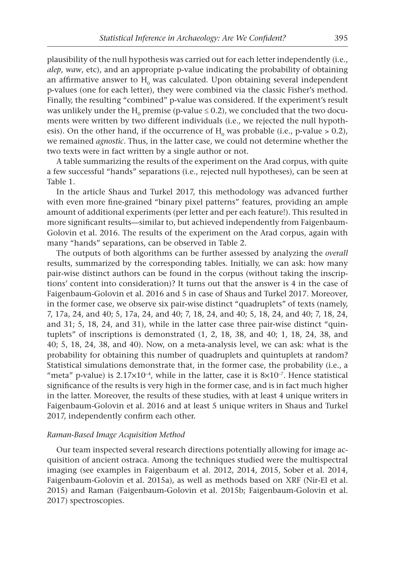plausibility of the null hypothesis was carried out for each letter independently (i.e., *alep*, *waw*, etc), and an appropriate p-value indicating the probability of obtaining an affirmative answer to  $H_0$  was calculated. Upon obtaining several independent p-values (one for each letter), they were combined via the classic Fisher's method. Finally, the resulting "combined" p-value was considered. If the experiment's result was unlikely under the H<sub>0</sub> premise (p-value  $\leq$  0.2), we concluded that the two documents were written by two different individuals (i.e., we rejected the null hypothesis). On the other hand, if the occurrence of  $H_0$  was probable (i.e., p-value > 0.2), we remained *agnostic*. Thus, in the latter case, we could not determine whether the two texts were in fact written by a single author or not.

A table summarizing the results of the experiment on the Arad corpus, with quite a few successful "hands" separations (i.e., rejected null hypotheses), can be seen at Table 1.

In the article Shaus and Turkel 2017, this methodology was advanced further with even more fine-grained "binary pixel patterns" features, providing an ample amount of additional experiments (per letter and per each feature!). This resulted in more significant results—similar to, but achieved independently from Faigenbaum-Golovin et al. 2016. The results of the experiment on the Arad corpus, again with many "hands" separations, can be observed in Table 2.

The outputs of both algorithms can be further assessed by analyzing the *overall* results, summarized by the corresponding tables. Initially, we can ask: how many pair-wise distinct authors can be found in the corpus (without taking the inscriptions' content into consideration)? It turns out that the answer is 4 in the case of Faigenbaum-Golovin et al. 2016 and 5 in case of Shaus and Turkel 2017. Moreover, in the former case, we observe six pair-wise distinct "quadruplets" of texts (namely, 7, 17a, 24, and 40; 5, 17a, 24, and 40; 7, 18, 24, and 40; 5, 18, 24, and 40; 7, 18, 24, and 31; 5, 18, 24, and 31), while in the latter case three pair-wise distinct "quintuplets" of inscriptions is demonstrated (1, 2, 18, 38, and 40; 1, 18, 24, 38, and 40; 5, 18, 24, 38, and 40). Now, on a meta-analysis level, we can ask: what is the probability for obtaining this number of quadruplets and quintuplets at random? Statistical simulations demonstrate that, in the former case, the probability (i.e., a "meta" p-value) is  $2.17 \times 10^{-4}$ , while in the latter, case it is  $8 \times 10^{-7}$ . Hence statistical significance of the results is very high in the former case, and is in fact much higher in the latter. Moreover, the results of these studies, with at least 4 unique writers in Faigenbaum-Golovin et al. 2016 and at least 5 unique writers in Shaus and Turkel 2017, independently confirm each other.

#### *Raman-Based Image Acquisition Method*

Our team inspected several research directions potentially allowing for image acquisition of ancient ostraca. Among the techniques studied were the multispectral imaging (see examples in Faigenbaum et al. 2012, 2014, 2015, Sober et al. 2014, Faigenbaum-Golovin et al. 2015a), as well as methods based on XRF (Nir-El et al. 2015) and Raman (Faigenbaum-Golovin et al. 2015b; Faigenbaum-Golovin et al. 2017) spectroscopies.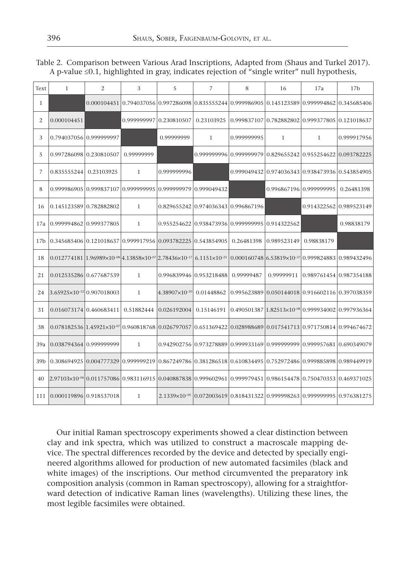| Text            | $\mathbf{1}$                          | 2                                                                                                                                                                                                                                                                           | 3                       | 5                       | 7                                               | 8           | 16                                                                                                | 17a                     | 17 <sub>b</sub> |
|-----------------|---------------------------------------|-----------------------------------------------------------------------------------------------------------------------------------------------------------------------------------------------------------------------------------------------------------------------------|-------------------------|-------------------------|-------------------------------------------------|-------------|---------------------------------------------------------------------------------------------------|-------------------------|-----------------|
| $\mathbf{1}$    |                                       |                                                                                                                                                                                                                                                                             |                         |                         |                                                 |             | $0.000104451 0.794037056 0.997286098 0.835555244 0.999986905 0.145123589 0.999994862 0.345685406$ |                         |                 |
| 2               | 0.000104451                           |                                                                                                                                                                                                                                                                             | 0.99999999710.230810507 |                         | 0.23103925                                      |             | $\left  0.999837107 \right  0.782882802 \left  0.999377805 \right  0.121018637$                   |                         |                 |
| 3               | 0.79403705610.999999997               |                                                                                                                                                                                                                                                                             |                         | 0.99999999              | $\mathbf{1}$                                    | 0.999999995 | $\mathbf{1}$                                                                                      | $\mathbf{1}$            | 0.999917956     |
| 5               | 0.997286098 0.230810507               |                                                                                                                                                                                                                                                                             | 0.99999999              |                         |                                                 |             | 0.999999996 0.999999979 0.829655242 0.955254622 0.093782225                                       |                         |                 |
| 7               | 0.835555244                           | 0.23103925                                                                                                                                                                                                                                                                  | $\mathbf{1}$            | 0.999999996             |                                                 |             | 0.999049432 0.974036343 0.938473936 0.543854905                                                   |                         |                 |
| 8               |                                       | $0.99998690510.99983710710.99999999510.99999997910.999049432$                                                                                                                                                                                                               |                         |                         |                                                 |             | 0.996867196 0.999999995                                                                           |                         | 0.26481398      |
| 16              | 0.145123589 0.782882802               |                                                                                                                                                                                                                                                                             | $\mathbf{1}$            |                         | 0.829655242 0.974036343 0.996867196             |             |                                                                                                   | 0.91432256210.989523149 |                 |
| 17a             | 0.999994862 0.999377805               |                                                                                                                                                                                                                                                                             | $\mathbf{1}$            |                         | 0.955254622 0.938473936 0.999999995 0.914322562 |             |                                                                                                   |                         | 0.98838179      |
| 17 <sub>b</sub> |                                       | 0.345685406 0.121018637 0.999917956 0.093782225 0.543854905                                                                                                                                                                                                                 |                         |                         |                                                 | 0.26481398  | 10.989523149                                                                                      | 0.98838179              |                 |
| 18              |                                       | $0.012774181\, [1.96989\times 10^{-08}]4.13858\times 10^{-07}]2.78436\times 10^{-17}]6.1151\times 10^{-25}\, [0.000160748\, [6.53819\times 10^{-37}]0.999824883\, [0.989432496\, [0.989432496\, [0.989432496\, [0.989432496\, [0.989432496\, [0.989432496\, [0.989432496\,$ |                         |                         |                                                 |             |                                                                                                   |                         |                 |
| 21              | 0.012535286 0.677687539               |                                                                                                                                                                                                                                                                             | $\mathbf{1}$            |                         | 0.996839946 0.953218488                         | 0.99999487  | 0.99999911                                                                                        | 0.989761454 0.987354188 |                 |
| 24              | 3.65925×10 <sup>-12</sup> 0.907018003 |                                                                                                                                                                                                                                                                             | $\mathbf{1}$            | $4.38907\times10^{-10}$ | 0.01448862                                      |             | 0.995623889 0.050144018 0.916602116 0.397038359                                                   |                         |                 |
| 31              | 0.016073174 0.460683411               |                                                                                                                                                                                                                                                                             | 0.51882444              | 0.026192004             | 0.15146191                                      |             | $0.490501387$   $1.82513\times10^{-08}$   0.999934002   0.997936364                               |                         |                 |
| 38              |                                       | $0.078182536 1.45921\times10^{-07} 0.960818768 0.026797057 0.651369422 0.028988689 0.017541713 0.971750814 0.994674672$                                                                                                                                                     |                         |                         |                                                 |             |                                                                                                   |                         |                 |
| 39a             | 0.038794364 0.999999999               |                                                                                                                                                                                                                                                                             | $\mathbf{1}$            |                         |                                                 |             | 0.942902756 0.973278889 0.999933169 0.999999999 0.999957681 0.690349079                           |                         |                 |
| 39 <sub>b</sub> |                                       | 0.308694925 $ 0.004777329 0.999999219 0.867249786 0.381286518 0.610834495 0.752972486 0.999885898 0.989449919$                                                                                                                                                              |                         |                         |                                                 |             |                                                                                                   |                         |                 |
| 40              |                                       | 2.97103×10 <sup>-%</sup> [0.011757086]0.983116915]0.040887838[0.999602961]0.999979451[0.986154478]0.750470353[0.469371025                                                                                                                                                   |                         |                         |                                                 |             |                                                                                                   |                         |                 |
| 111             | 0.00011989610.918537018               |                                                                                                                                                                                                                                                                             | $\mathbf{1}$            |                         |                                                 |             | 2.1339×10 <sup>-05</sup> 10.072003619 10.818431322 10.999998263 10.999999995 10.976381275         |                         |                 |

Table 2. Comparison between Various Arad Inscriptions, Adapted from (Shaus and Turkel 2017). A p-value ≤0.1, highlighted in gray, indicates rejection of "single writer" null hypothesis,

Our initial Raman spectroscopy experiments showed a clear distinction between clay and ink spectra, which was utilized to construct a macroscale mapping device. The spectral differences recorded by the device and detected by specially engineered algorithms allowed for production of new automated facsimiles (black and white images) of the inscriptions. Our method circumvented the preparatory ink composition analysis (common in Raman spectroscopy), allowing for a straightforward detection of indicative Raman lines (wavelengths). Utilizing these lines, the most legible facsimiles were obtained.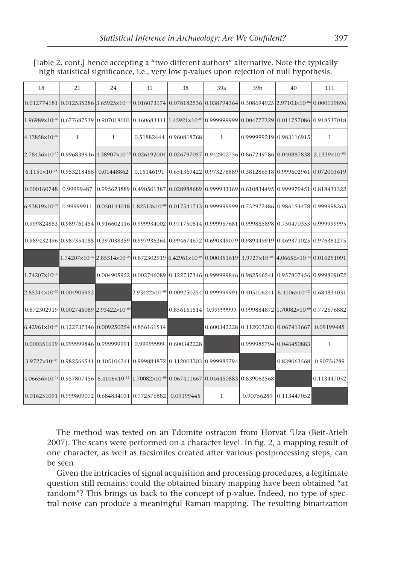| 18                                                                                                                                                                                                                 | 21                                              | 24                                                                                                                                | 31         | 38                                                             | 39a          | 39 <sub>b</sub>                     | 40                                                                                                                                | 111          |
|--------------------------------------------------------------------------------------------------------------------------------------------------------------------------------------------------------------------|-------------------------------------------------|-----------------------------------------------------------------------------------------------------------------------------------|------------|----------------------------------------------------------------|--------------|-------------------------------------|-----------------------------------------------------------------------------------------------------------------------------------|--------------|
|                                                                                                                                                                                                                    |                                                 |                                                                                                                                   |            |                                                                |              |                                     | $[0.012774181]0.012535286]3.65925\times10^{-12}[0.016073174]0.078182536]0.038794364]0.308694925[2.97103\times10^{-6}]0.000119896$ |              |
| $\left  1.96989 \times 10^{ -08} \right  0.677687539 \left  0.907018003 \left  0.460683411 \right  1.45921 \times 10^{ -07} \right  0.999999999 \left  0.004777329 \left  0.011757086 \right  0.918537018 \right $ |                                                 |                                                                                                                                   |            |                                                                |              |                                     |                                                                                                                                   |              |
| $4.13858\times10^{-07}$                                                                                                                                                                                            | 1                                               | $\mathbf{1}$                                                                                                                      | 0.51882444 | 0.960818768                                                    | $\mathbf{1}$ |                                     | 0.999999219 0.983116915                                                                                                           | 1            |
| $[2.78436\times10^{17}]0.996839946]4.38907\times10^{-10}]0.026192004]0.026797057]0.942902756]0.867249786]0.040887838]2.1339\times10^{-05}$                                                                         |                                                 |                                                                                                                                   |            |                                                                |              |                                     |                                                                                                                                   |              |
|                                                                                                                                                                                                                    | $6.1151\times10^{-25}$ 0.953218488              | 0.01448862                                                                                                                        | 0.15146191 |                                                                |              |                                     | $0.651369422   0.973278889   0.381286518   0.999602961   0.072003619$                                                             |              |
| 0.000160748                                                                                                                                                                                                        | 0.99999487                                      |                                                                                                                                   |            |                                                                |              |                                     | $0.995623889 0.490501387 0.028988689 0.999933169 0.610834495 0.999979451 0.818431322$                                             |              |
| $6.53819\times10^{-37}$                                                                                                                                                                                            | 0.99999911                                      |                                                                                                                                   |            |                                                                |              |                                     | $0.050144018$   $1.82513\times10^{-98}$   $0.017541713$   $0.999999999$   $0.752972486$   $0.986154478$   $0.999998263$           |              |
|                                                                                                                                                                                                                    |                                                 |                                                                                                                                   |            |                                                                |              |                                     | 0.99982488310.98976145410.91660211610.99993400210.97175081410.99995768110.99988589810.75047035310.999999995                       |              |
|                                                                                                                                                                                                                    |                                                 |                                                                                                                                   |            |                                                                |              |                                     | 0.98943249610.98735418810.39703835910.99793636410.99467467210.69034907910.98944991910.46937102510.976381275                       |              |
|                                                                                                                                                                                                                    |                                                 | $1.74207\times10^{-37}$   $2.85314\times10^{-23}$   $0.872302919$   $6.42961\times10^{-05}$   $0.000351619$                       |            |                                                                |              |                                     | $3.9727\times10^{-05}$ 4.06656 $\times10^{-14}$ 0.016251091                                                                       |              |
| $1.74207\times10^{-37}$                                                                                                                                                                                            |                                                 |                                                                                                                                   |            |                                                                |              |                                     | $0.004905952 0.002746089 0.122737346 0.999999846 0.982566541 0.957807456 0.999809072$                                             |              |
| 2.85314×10 <sup>-23</sup> 0.004905952                                                                                                                                                                              |                                                 |                                                                                                                                   |            | 2.93422×10 <sup>-09</sup>  0.009250254 0.999999991 0.405106241 |              |                                     | $6.4106\times10^{-12}$ 0.684834031                                                                                                |              |
|                                                                                                                                                                                                                    | $0.87230291910.00274608922.93422\times10^{-09}$ |                                                                                                                                   |            | 0.856161514                                                    | 0.99999999   |                                     | $0.99988487211.70082\times10^{-09}10.772576882$                                                                                   |              |
| 6.42961×10 <sup>-05</sup> 0.122737346 0.009250254 0.856161514                                                                                                                                                      |                                                 |                                                                                                                                   |            |                                                                |              | 0.600342228 0.112003203 0.067411667 |                                                                                                                                   | 0.09199445   |
|                                                                                                                                                                                                                    | 0.000351619 0.999999846 0.999999991             |                                                                                                                                   | 0.99999999 | 0.600342228                                                    |              |                                     | 0.999985794 0.046450883                                                                                                           | $\mathbf{1}$ |
|                                                                                                                                                                                                                    | $3.9727\times10^{-05}$ 0.982566541              | 0.405106241 0.999884872 0.112003203 0.999985794                                                                                   |            |                                                                |              |                                     | 0.839063568                                                                                                                       | 0.90756289   |
|                                                                                                                                                                                                                    |                                                 | $4.06656\times10^{-14}$ 0.957807456   6.4106 $\times10^{-12}$   1.70082 $\times10^{-9}$   0.067411667   0.046450883   0.839063568 |            |                                                                |              |                                     |                                                                                                                                   | 0.113447052  |
|                                                                                                                                                                                                                    |                                                 | 0.016251091 0.999809072 0.684834031 0.772576882                                                                                   |            | 0.09199445                                                     | $\mathbf{1}$ | 0.90756289                          | 0.113447052                                                                                                                       |              |

[Table 2, cont.] hence accepting a "two different authors" alternative. Note the typically high statistical significance, i.e., very low p-values upon rejection of null hypothesis.

The method was tested on an Edomite ostracon from Ḥorvat ʿUza (Beit-Arieh 2007). The scans were performed on a character level. In fig. 2, a mapping result of one character, as well as facsimiles created after various postprocessing steps, can be seen.

Given the intricacies of signal acquisition and processing procedures, a legitimate question still remains: could the obtained binary mapping have been obtained "at random"? This brings us back to the concept of p-value. Indeed, no type of spectral noise can produce a meaningful Raman mapping. The resulting binarization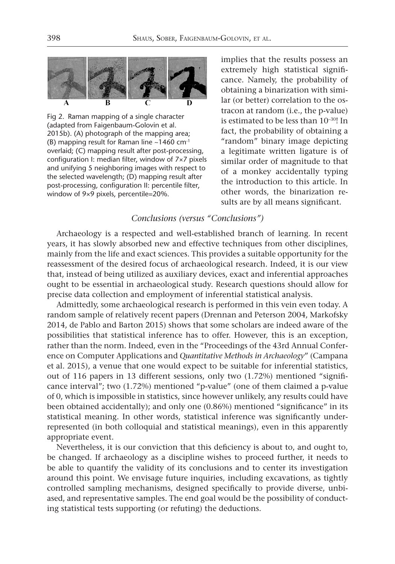

Fig 2. Raman mapping of a single character (adapted from Faigenbaum-Golovin et al. 2015b). (A) photograph of the mapping area; (B) mapping result for Raman line  $\sim$ 1460 cm<sup>-1</sup> overlaid; (C) mapping result after post-processing, configuration I: median filter, window of 7×7 pixels and unifying 5 neighboring images with respect to the selected wavelength; (D) mapping result after post-processing, configuration II: percentile filter, window of 9×9 pixels, percentile=20%.

implies that the results possess an extremely high statistical significance. Namely, the probability of obtaining a binarization with similar (or better) correlation to the ostracon at random (i.e., the p-value) is estimated to be less than 10–30! In fact, the probability of obtaining a "random" binary image depicting a legitimate written ligature is of similar order of magnitude to that of a monkey accidentally typing the introduction to this article. In other words, the binarization results are by all means significant.

## *Conclusions (versus "Conclusions")*

Archaeology is a respected and well-established branch of learning. In recent years, it has slowly absorbed new and effective techniques from other disciplines, mainly from the life and exact sciences. This provides a suitable opportunity for the reassessment of the desired focus of archaeological research. Indeed, it is our view that, instead of being utilized as auxiliary devices, exact and inferential approaches ought to be essential in archaeological study. Research questions should allow for precise data collection and employment of inferential statistical analysis.

Admittedly, some archaeological research is performed in this vein even today. A random sample of relatively recent papers (Drennan and Peterson 2004, Markofsky 2014, de Pablo and Barton 2015) shows that some scholars are indeed aware of the possibilities that statistical inference has to offer. However, this is an exception, rather than the norm. Indeed, even in the "Proceedings of the 43rd Annual Conference on Computer Applications and *Quantitative Methods in Archaeology*" (Campana et al. 2015), a venue that one would expect to be suitable for inferential statistics, out of 116 papers in 13 different sessions, only two (1.72%) mentioned "significance interval"; two (1.72%) mentioned "p-value" (one of them claimed a p-value of 0, which is impossible in statistics, since however unlikely, any results could have been obtained accidentally); and only one (0.86%) mentioned "significance" in its statistical meaning. In other words, statistical inference was significantly underrepresented (in both colloquial and statistical meanings), even in this apparently appropriate event.

Nevertheless, it is our conviction that this deficiency is about to, and ought to, be changed. If archaeology as a discipline wishes to proceed further, it needs to be able to quantify the validity of its conclusions and to center its investigation around this point. We envisage future inquiries, including excavations, as tightly controlled sampling mechanisms, designed specifically to provide diverse, unbiased, and representative samples. The end goal would be the possibility of conducting statistical tests supporting (or refuting) the deductions.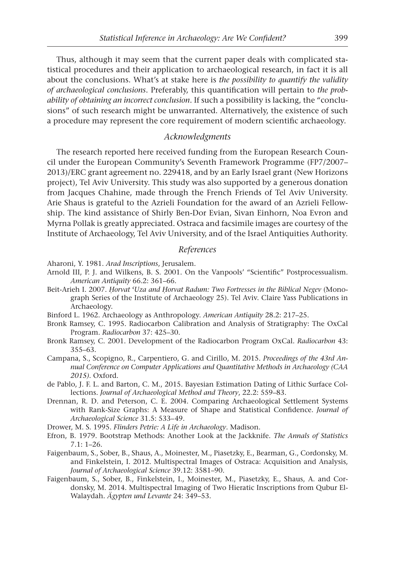Thus, although it may seem that the current paper deals with complicated statistical procedures and their application to archaeological research, in fact it is all about the conclusions. What's at stake here is *the possibility to quantify the validity of archaeological conclusions*. Preferably, this quantification will pertain to *the probability of obtaining an incorrect conclusion*. If such a possibility is lacking, the "conclusions" of such research might be unwarranted. Alternatively, the existence of such a procedure may represent the core requirement of modern scientific archaeology.

#### *Acknowledgments*

The research reported here received funding from the European Research Council under the European Community's Seventh Framework Programme (FP7/2007– 2013)/ERC grant agreement no. 229418, and by an Early Israel grant (New Horizons project), Tel Aviv University. This study was also supported by a generous donation from Jacques Chahine, made through the French Friends of Tel Aviv University. Arie Shaus is grateful to the Azrieli Foundation for the award of an Azrieli Fellowship. The kind assistance of Shirly Ben-Dor Evian, Sivan Einhorn, Noa Evron and Myrna Pollak is greatly appreciated. Ostraca and facsimile images are courtesy of the Institute of Archaeology, Tel Aviv University, and of the Israel Antiquities Authority.

#### *References*

- Aharoni, Y. 1981. *Arad Inscriptions*, Jerusalem.
- Arnold III, P. J. and Wilkens, B. S. 2001. On the Vanpools' "Scientific" Postprocessualism. *American Antiquity* 66.2: 361–66.
- Beit-Arieh I. 2007. *Ḥorvat ʿUza and Ḥorvat Radum: Two Fortresses in the Biblical Negev* (Monograph Series of the Institute of Archaeology 25). Tel Aviv. Claire Yass Publications in Archaeology.
- Binford L. 1962. Archaeology as Anthropology. *American Antiquity* 28.2: 217–25.
- Bronk Ramsey, C. 1995. Radiocarbon Calibration and Analysis of Stratigraphy: The OxCal Program. *Radiocarbon* 37: 425–30.
- Bronk Ramsey, C. 2001. Development of the Radiocarbon Program OxCal. *Radiocarbon* 43: 355–63.
- Campana, S., Scopigno, R., Carpentiero, G. and Cirillo, M. 2015. *Proceedings of the 43rd Annual Conference on Computer Applications and Quantitative Methods in Archaeology (CAA 2015)*. Oxford.
- de Pablo, J. F. L. and Barton, C. M., 2015. Bayesian Estimation Dating of Lithic Surface Collections. *Journal of Archaeological Method and Theory*, 22.2: 559–83.
- Drennan, R. D. and Peterson, C. E. 2004. Comparing Archaeological Settlement Systems with Rank-Size Graphs: A Measure of Shape and Statistical Confidence. *Journal of Archaeological Science* 31.5: 533–49.
- Drower, M. S. 1995. *Flinders Petrie: A Life in Archaeology*. Madison.
- Efron, B. 1979. Bootstrap Methods: Another Look at the Jackknife. *The Annals of Statistics*  7.1: 1–26.
- Faigenbaum, S., Sober, B., Shaus, A., Moinester, M., Piasetzky, E., Bearman, G., Cordonsky, M. and Finkelstein, I. 2012. Multispectral Images of Ostraca: Acquisition and Analysis, *Journal of Archaeological Science* 39.12: 3581–90.
- Faigenbaum, S., Sober, B., Finkelstein, I., Moinester, M., Piasetzky, E., Shaus, A. and Cordonsky, M. 2014. Multispectral Imaging of Two Hieratic Inscriptions from Qubur El-Walaydah. *Ägypten und Levante* 24: 349–53.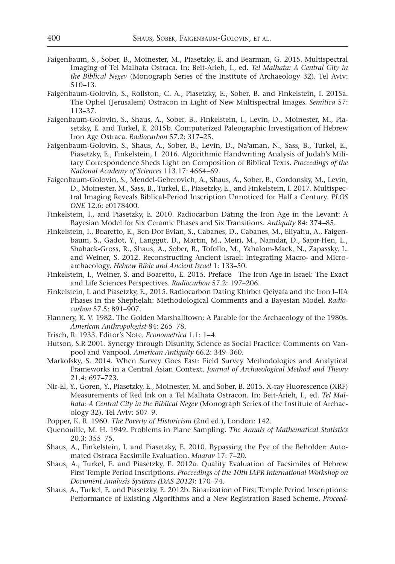- Faigenbaum, S., Sober, B., Moinester, M., Piasetzky, E. and Bearman, G. 2015. Multispectral Imaging of Tel Malhata Ostraca. In: Beit-Arieh, I., ed. *Tel Malhata: A Central City in the Biblical Negev* (Monograph Series of the Institute of Archaeology 32). Tel Aviv: 510–13.
- Faigenbaum-Golovin, S., Rollston, C. A., Piasetzky, E., Sober, B. and Finkelstein, I. 2015a. The Ophel (Jerusalem) Ostracon in Light of New Multispectral Images. *Semitica* 57: 113–37.
- Faigenbaum-Golovin, S., Shaus, A., Sober, B., Finkelstein, I., Levin, D., Moinester, M., Piasetzky, E. and Turkel, E. 2015b. Computerized Paleographic Investigation of Hebrew Iron Age Ostraca. *Radiocarbon* 57.2: 317–25.
- Faigenbaum-Golovin, S., Shaus, A., Sober, B., Levin, D., Naʾaman, N., Sass, B., Turkel, E., Piasetzky, E., Finkelstein, I. 2016. Algorithmic Handwriting Analysis of Judah's Military Correspondence Sheds Light on Composition of Biblical Texts. *Proceedings of the National Academy of Sciences* 113.17: 4664–69.
- Faigenbaum-Golovin, S., Mendel-Geberovich, A., Shaus, A., Sober, B., Cordonsky, M., Levin, D., Moinester, M., Sass, B., Turkel, E., Piasetzky, E., and Finkelstein, I. 2017. Multispectral Imaging Reveals Biblical-Period Inscription Unnoticed for Half a Century. *PLOS ONE* 12.6: e0178400.
- Finkelstein, I., and Piasetzky, E. 2010. Radiocarbon Dating the Iron Age in the Levant: A Bayesian Model for Six Ceramic Phases and Six Transitions. *Antiquity* 84: 374–85.
- Finkelstein, I., Boaretto, E., Ben Dor Evian, S., Cabanes, D., Cabanes, M., Eliyahu, A., Faigenbaum, S., Gadot, Y., Langgut, D., Martin, M., Meiri, M., Namdar, D., Sapir-Hen, L., Shahack-Gross, R., Shaus, A., Sober, B., Tofollo, M., Yahalom-Mack, N., Zapassky, L. and Weiner, S. 2012. Reconstructing Ancient Israel: Integrating Macro- and Microarchaeology. *Hebrew Bible and Ancient Israel* 1: 133–50.
- Finkelstein, I., Weiner, S. and Boaretto, E. 2015. Preface—The Iron Age in Israel: The Exact and Life Sciences Perspectives. *Radiocarbon* 57.2: 197–206.
- Finkelstein, I. and Piasetzky, E., 2015. Radiocarbon Dating Khirbet Qeiyafa and the Iron I–IIA Phases in the Shephelah: Methodological Comments and a Bayesian Model. *Radiocarbon* 57.5: 891–907.
- Flannery, K. V. 1982. The Golden Marshalltown: A Parable for the Archaeology of the 1980s. *American Anthropologist* 84: 265–78.
- Frisch, R. 1933. Editor's Note. *Econometrica* 1.1: 1–4.
- Hutson, S.R 2001. Synergy through Disunity, Science as Social Practice: Comments on Vanpool and Vanpool. *American Antiquity* 66.2: 349–360.
- Markofsky, S. 2014. When Survey Goes East: Field Survey Methodologies and Analytical Frameworks in a Central Asian Context. *Journal of Archaeological Method and Theory* 21.4: 697–723.
- Nir-El, Y., Goren, Y., Piasetzky, E., Moinester, M. and Sober, B. 2015. X-ray Fluorescence (XRF) Measurements of Red Ink on a Tel Malhata Ostracon. In: Beit-Arieh, I., ed. *Tel Malhata: A Central City in the Biblical Negev* (Monograph Series of the Institute of Archaeology 32). Tel Aviv: 507–9.
- Popper, K. R. 1960. *The Poverty of Historicism* (2nd ed.), London: 142.
- Quenouille, M. H. 1949. Problems in Plane Sampling. *The Annals of Mathematical Statistics* 20.3: 355–75.
- Shaus, A., Finkelstein, I. and Piasetzky, E. 2010. Bypassing the Eye of the Beholder: Automated Ostraca Facsimile Evaluation. *Maarav* 17: 7–20.
- Shaus, A., Turkel, E. and Piasetzky, E. 2012a. Quality Evaluation of Facsimiles of Hebrew First Temple Period Inscriptions. *Proceedings of the 10th IAPR International Workshop on Document Analysis Systems (DAS 2012)*: 170–74.
- Shaus, A., Turkel, E. and Piasetzky, E. 2012b. Binarization of First Temple Period Inscriptions: Performance of Existing Algorithms and a New Registration Based Scheme. *Proceed-*